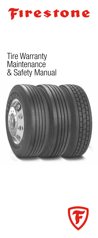

# Tire Warranty **Maintenance** & Safety Manual



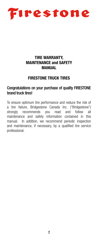

# TIRE WARRANTY, MAINTENANCE and SAFETY MANUAL

# FIRESTONE TRUCK TIRES

## Congratulations on your purchase of quality FIRESTONE brand truck tires!

To ensure optimum tire performance and reduce the risk of a tire failure, Bridgestone Canada Inc. ("Bridgestone") strongly recommends you read and follow all maintenance and safety information contained in this manual. In addition, we recommend periodic inspection and maintenance, if necessary, by a qualified tire service professional.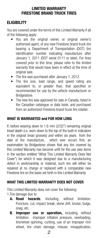# LIMITED WARRANTY FIRESTONE BRAND TRUCK TIRES

# **FLIGIRILITY**

You are covered under the terms of this Limited Warranty if all of the following apply:

- You are the original owner, or original owner's authorized agent, of any new Firestone brand truck tire bearing a Department of Transportation (DOT) tire identification number indicating manufacture after January 1, 2011 (DOT serial 0111 or later). For tires covered prior to this time, please refer to the limited warranty that would have been in effect at the time of original sale.
- The tire was purchased after January 1, 2012.
- The tire size, load range, and speed rating are equivalent to, or greater than, that specified or recommended for use by the vehicle manufacturer or Bridgestone.
- The new tire was approved for sale in Canada, listed in the Canadian catalogue or data book, and purchased from an authorized Firestone brand truck tire retailer.

# WHAT IS WARRANTED and FOR HOW LONG

If, before wearing down to 1.6 mm (2/32") remaining original tread depth (i.e. worn down to the top of the built-in indicators in the original tread grooves) and within six years from the date of tire manufacture, which ever occurs first, an examination by Bridgestone shows that any tire covered by this Limited Warranty has become unfit for the use (see items in the section entitled "What This Limited Warranty Does Not Cover") for which it was designed due to a manufacturing defect in workmanship or material, such tire will either be repaired at no charge or replaced with a comparable new Firestone tire on the basis set forth in this Limited Warranty.

# WHAT THIS LIMITED WARRANTY DOES NOT COVER

This Limited Warranty does not cover the following:

- 1.Tire damage due to:
	- A. Road hazards, iincluding, without limitation: Puncture, cut, impact break, stone drill, bruise, bulge, snag, etc.
	- **B.** Improper use or operation, including, without limitation: Improper inflation pressure, overloading, tire/wheel spinning, curbing, use of an improper rim/ wheel, tire chain damage, misuse, misapplication,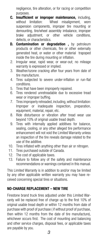negligence, tire alteration, or for racing or competition purposes.

- C. Insufficient or improper maintenance, including, without limitation: Wheel misalignment, worn suspension components, improper tire mounting or demounting, tire/wheel assembly imbalance, improper brake adjustment, or other vehicle conditions, defects, or characteristics.
- **D. Contamination or degradation**, by petroleum products or other chemicals, fire or other externally generated heat, or water or other material trapoped inside the tire during mounting or inflation.
- 2. Irregular wear, rapid wear, or wear-out; no mileage warranty is expressed or implied.
- 3. Weather/ozone cracking after four years from date of tire manufacture.
- 4. Tires subjected to severe under-inflation or run-flat conditions.
- 5. Tires that have been improperly repaired.
- 6. Tires rendered unretreadable due to excessive tread wear or improper buffing.
- 7. Tires improperly retreaded, including, without limitation: Improper or inadequate inspection, preparation, equipment, material, repair, etc.
- 8. Ride disturbance or vibration after tread wear use beyond 10% of original usable tread depth.
- 9. Tires with internally applied additives for balance, sealing, cooling, or any other alleged tire performance enhancement will not void the Limited Warranty unless an inspection of the tire reveals damage related to the use of the additive.
- 10. Tires inflated with anything other than air or nitrogen.
- 11. Tires purchased outside of Canada.
- 12. The cost of applicable taxes.
- 13. Failure to follow any of the safety and maintenance recommendations or warnings contained in this manual.

This Limited Warranty is in addition to and/or may be limited by any other applicable written warranty you may have received concerning special tires or situations.

# NO-CHARGE REPLACEMENT – NEW TIRE

Firestone brand truck tires adjusted under this Limited Warranty will be replaced free of charge up to the first 10% of original usable tread depth or within 12 months from date of purchase with proof of purchase ( if without proof of purchase, then within 12 months from the date of tire manufacture), whichever occurs first. The cost of mounting and balancing and other service charges, disposal fees, or applicable taxes are payable by you.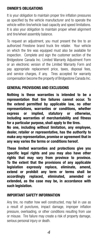# OWNER'S OBLIGATIONS

It is your obligation to maintain proper tire inflation pressures as specified by the vehicle manufacturer and to operate the vehicle within tire/vehicle load capacity and speed limitations. It is also your obligation to maintain proper wheel alignment and tire/wheel assembly balance.

To request an adjustment, you must present the tire to an authorized Firestone brand truck tire retailer. Your vehicle on which the tire was equipped must also be available for inspection. Complete and sign the customer section of the Bridgestone Canada Inc. Limited Warranty Adjustment Form or an electronic version of the Limited Warranty Form and pay appropriate replacement price, taxes, disposal fees, and service charges, if any. Tires accepted for warranty compensation become the property of Bridgestone Canada Inc.

# GENERAL PROVISIONS AND EXCLUSIONS

Nothing is these warranties is intended to be a representation that tire failures cannot occur. To the extend permitted by applicable law, no other representations, warranties or conditions, whether express or implied, statutory or otherwise, including warranties of merchantability and fitness for a particular purpose, shall apply to the tires.

No one, including without limitation, any employee, dealer, retailer or representative, has the authority to make any representation, promise or agreement that in any way varies the terms or conditions hereof.

These limited warranties and protections give you specific legal rights and you may also have other rights that may vary from province to province. To the extent that the provisions of any applicable legislation expressly replace, eliminate, amend, extend or prohibit any term or terms shall be accordingly replaced, eliminated, amended or extended, as the case may be, in accordance with such legislation.

#### IMPORTANT SAFETY INFORMATION

Any tire, no matter how well constructed, may fail in use as a result of punctures, impact damage, improper inflation pressure, overloading, or other conditions resulting from use or misuse. Tire failure may create a risk of property damage, serious personal injury or death.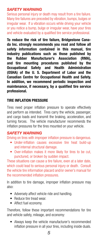# *SAFETY WARNING*

Serious personal injury or death may result from a tire failure. Many tire failures are preceded by vibration, bumps, bulges or irregular wear. If a vibration occurs while driving your vehicle or you notice a bump, bulge or irregular wear, have your tires and vehicle evaluated by a qualified tire service professional.

To reduce the risk of tire failure, Bridgestone Canada Inc. strongly recommends you read and follow all safety information contained in this manual, tire industry publications such as those published by the Rubber Manufacturer's Association (RMA), and tire mounting procedures published by the Occupational Safety and Health Administration (OSHA) of the U. S. Department of Labor and the Canadian Centre for Occupational Health and Safety. In addition, we recommend periodic inspection and maintenance, if necessary, by a qualified tire service professional.

# TIRE INFLATION PRESSURE

Tires need proper inflation pressure to operate effectively and perform as intended. Tires carry the vehicle, passenger, and cargo loads and transmit the braking, acceleration, and turning forces. The vehicle manufacturer recommends the inflation pressures for the tires mounted on your vehicle.

#### *SAFETY WARNING*

Driving on tires with improper inflation pressure is dangerous.

- Under-inflation causes excessive tire heat build-up and internal structural damage.
- Over-inflation makes it more likely for tires to be cut, punctured, or broken by sudden impact.

These situations can cause a tire failure, even at a later date, which could lead to serious personal injury or death. Consult the vehicle tire information placard and/or owner's manual for the recommended inflation pressures.

In addition to tire damage, improper inflation pressure may also:

- Adversely affect vehicle ride and handling.
- Reduce tire tread wear.
- Affect fuel economy.

Therefore, follow these important recommendations for tire and vehicle safety, mileage, and economy:

• Always keep the vehicle manufacturer's recommended inflation pressure in all your tires, including inside duals.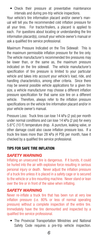• Check their pressure at preventative maintenance intervals and during pre-trip vehicle inspections.

Your vehicle's tire information placard and/or owner's manual will tell you the recommended cold inflation pressure for all your tires. For tractor/trailers, a placard is applied to each. For questions about locating or understanding the tire information placard(s), consult your vehicle owner's manual or ask a qualified tire service professional.

Maximum Pressure Indicated on the Tire Sidewall: This is the maximum permissible inflation pressure for the tire only. The vehicle manufacturer's recommended tire pressures may be lower than, or the same as, the maximum pressure indicated on the tire sidewall. The vehicle manufacturer's specification of tire pressure is limited to your particular vehicle and takes into account your vehicle's load, ride, and handling characteristics, among other criteria. Since there may be several possible vehicle applications for a given tire size, a vehicle manufacturer may choose a different inflation pressure specification for that same size tire on a different vehicle. Therefore, always refer to the inflation pressure specifications on the vehicle tire information placard and/or in your vehicle owner's manual.

Pressure Loss: Truck tires can lose 14 kPa (2 psi) per month under normal conditions and can lose 14 kPa (2 psi) for every 5.6°C (10 F) temperature drop. A puncture, leaking valve, or other damage could also cause inflation pressure loss. If a truck tire loses more than 28 kPa (4 PSI) per month, have it checked by a qualified tire service professional.

#### TIPS FOR SAFE TIRE INFLATION

#### *SAFETY WARNING*

Inflating an unsecured tire is dangerous. If it bursts, it could be hurled into the air with explosive force resulting in serious personal injury or death. Never adjust the inflation pressure of a truck tire unless it is placed in a safety cage or is secured to the vehicle or a tire mounting machine. Never stand or lean over the tire or in front of the valve when inflating.

#### *SAFETY WARNING*

Never re-inflate a truck tire that has been run at very low inflation pressure (i.e. 80% or less of normal operating pressure) without a complete inspection of the entire tire. Immediately have the tire demounted and inspected by a qualified tire service professional.

The Provincial Transportation Ministries and National Safety Code requires a pre-trip vehicle inspection.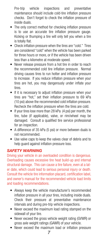Pre-trip vehicle inspections and preventative maintenance should include cold-tire inflation pressure checks. Don't forget to check the inflation pressure of inside duals.

- The only correct method for checking inflation pressure is to use an accurate tire inflation pressure gauge. Kicking or thumping a tire will only tell you when a tire is totally flat.
- Check inflation pressure when the tires are "cold." Tires are considered "cold" when the vehicle has been parked for three hours or more, or if the vehicle has been driven less than a kilometre at moderate speed.
- Never release pressure from a hot tire in order to reach the recommended cold tire inflation pressure. Normal driving causes tires to run hotter and inflation pressure to increase. If you reduce inflation pressure when your tires are hot, you may dangerously under inflate your tires.
- If it is necessary to adjust inflation pressure when your tires are "hot," set their inflation pressure to 69 kPa (10 psi) above the recommended cold inflation pressure. Recheck the inflation pressure when the tires are cold.
- If your tires lose more than  $28$  kPa  $(4$  psi) per month, the tire, tube (if applicable), valve, or rim/wheel may be damaged. Consult a qualified tire service professional for an inspection.
- A difference of 35 kPa (5 psi) or more between duals is not recommended.
- Use valve caps to keep the valves clear of debris and to help guard against inflation pressure loss.

#### *SAFETY WARNING*

Driving your vehicle in an overloaded condition is dangerous. Overloading causes excessive tire heat build-up and internal structural damage. This can cause a tire failure, even at a later date, which could lead to serious personal injury or death. Consult the vehicle tire information placard, certification label, and owner's manual for the recommended vehicle load limits and loading recommendations.

- Always keep the vehicle manufacturer's recommended inflation pressure in all your tires, including inside duals. Check their pressure at preventative maintenance intervals and during pre-trip vehicle inspections.
- Never exceed the maximum load rating stamped on the sidewall of your tire.
- Never exceed the gross vehicle weight rating (GVWR) or gross axle weight ratings (GAWR) of your vehicle.
- Never exceed the maximum load or inflation pressure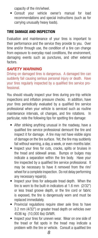capacity of the rim/wheel.

 • Consult your vehicle owner's manual for load recommendations and special instructions (such as for carrying unusually heavy loads).

# TIRE DAMAGE AND INSPECTION

Evaluation and maintenance of your tires is important to their performance and the service they provide to you. Over time and/or through use, the condition of a tire can change from exposure to everyday road conditions, the environment, damaging events such as punctures, and other external factors.

# *SAFETY WARNING*

Driving on damaged tires is dangerous. A damaged tire can suddenly fail causing serious personal injury or death. Have your tires regularly inspected by a qualified tire service professional.

You should visually inspect your tires during pre-trip vehicle inspections and inflation pressure checks. In addition, have your tires periodically evaluated by a qualified tire service professional when your vehicle is serviced such as routine maintenance intervals, oil changes, and tire rotations. In particular, note the following tips for spotting tire damage:

- After striking anything unusual in the roadway, have a qualified tire service professional demount the tire and inspect it for damage. A tire may not have visible signs of damage on the tire surface. Yet, the tire may suddenly fail without warning, a day, a week, or even months later.
- Inspect your tires for cuts, cracks, splits or bruises in the tread and sidewall areas. Bumps or bulges may indicate a separation within the tire body. Have your tire inspected by a qualified tire service professional. It may be necessary to have it removed from the rim/ wheel for a complete inspection. Do not delay performing any necessary repair(s).
- Inspect your tires for adequate tread depth. When the tire is worn to the built-in indicators at 1.6 mm (2/32") or less tread groove depth, or the tire cord or fabric is exposed, the tire is dangerously worn and must be replaced immediately.
- • Provincial regulations require steer axle tires to have 3.2 mm (4/32") or greater tread depth on vehicles over 4536 kg (10,000 lbs) GVWR.
- Inspect your tires for uneven wear. Wear on one side of the tread or flat spots in the tread may indicate a problem with the tire or vehicle. Consult a qualified tire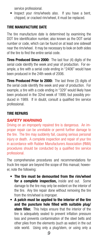service professional.

• Inspect your rims/wheels also. If you have a bent, chipped, or cracked rim/wheel, it must be replaced.

# TIRE MANUFACTURE DATE

The tire manufacture date is determined by examining the DOT tire identification number, also known as the DOT serial number or code, which can be found on at least one sidewall near the rim/wheel. It may be necessary to look on both sides of the tire to find the entire serial code.

**Tires Produced Since 2000:** The last four (4) digits of the serial code identify the week and year of production. For example, a tire with a serial code ending in "2406" would have been produced in the 24th week of 2006.

**Tires Produced Prior to 2000:** The last three (3) digits of the serial code identify the week and year of production. For example, a tire with a code ending in "329" would likely have been produced in the 32nd week of 1999, but possibly produced in 1989. If in doubt, consult a qualified tire service professional.

# TIRE REPAIRS

# *SAFETY WARNING*

Driving on an improperly repaired tire is dangerous. An improper repair can be unreliable or permit further damage to the tire. The tire may suddenly fail, causing serious personal injury or death. A complete inspection and repair of your tire in accordance with Rubber Manufacturers Association (RMA) procedures should be conducted by a qualified tire service professional.

The comprehensive procedures and recommendations for truck tire repair are beyond the scope of this manual; however, note the following:

- The tire must be demounted from the rim/wheel for a complete inspection, inside and out. Some damage to the tire may only be evident on the interior of the tire. Any tire repair done without removing the tire from the rim/wheel is improper.
- A patch must be applied to the interior of the tire and the puncture hole filled with suitable plug/ stem filler. This helps ensure that the interior of the tire is adequately sealed to prevent inflation pressure loss and prevents contamination of the steel belts and other plies from the elements (such as water) in the out side world. Using only a plug/stem, or using only a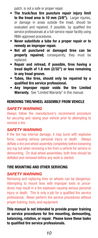patch, is not a safe or proper repair.

- The truck/bus tire puncture repair injury limit to the tread area is 10 mm (3/8"). Larger injuries, or damage in areas outside the tread, should be evaluated and repaired, if possible, by qualified tire service professionals at a full-service repair facility using RMA-approved procedures.
- Never substitute a tube for a proper repair or to remedy an improper repair.
- Not all punctured or damaged tires can be **properly repaired;** consequently, they must be replaced.
- • Repair and retread, if possible, tires having a tread depth of 1.6 mm (2/32") or less remaining in any tread groove.
- • Tubes, like tires, should only be repaired by a qualified tire service professional.
- • Any Improper repair voids the tire Limited Warranty. See "Limited Warranty" in this manual.

# REMOVING TIRE/WHEEL ASSEMBLY FROM VEHICLE

# *SAFETY WARNING*

Always follow the manufacturer's recommend procedure for securing and raising your vehicle prior to attempting to remove a tire.

#### *SAFETY WARNING*

If the tire has internal damage, it may burst with explosive force, causing serious personal injury or death. Always deflate a tire and wheel assembly completely before loosening any lug nut when removing a tire from a vehicle for service or demounting. On dual wheel assemblies, both tires should be deflated and removed before any work is started.

# TIRE MOUNTING AND OTHER SERVICING

#### *SAFETY WARNING*

Removing and replacing tires on wheels can be dangerous. Attempting to mount tires with improper tools or procedures may result in a tire explosion causing serious personal injury or death. This is only a job for a qualified tire service professional. Never perform tire service procedures without proper training, tools, and equipment.

This manual is not intended to provide proper training or service procedures for tire mounting, demounting, balancing, rotation, or repair. Please leave these tasks to qualified tire service professionals.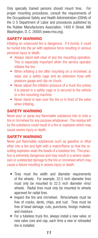Only specially trained persons should mount tires. For proper mounting procedures, consult the requirements of the Occupational Safety and Health Administration (OSHA) of the U S Department of Labor and procedures published by the Rubber Manufacturers Association, 1400 K Street, NW Washington, D. C. 20005 (www.rma.org).

# *SAFETY WARNING*

Inflating an unsecured tire is dangerous. If it bursts, it could be hurled into the air with explosive force resulting in serious personal injury or death.

- Always stand well clear of any tire mounting operation. This is especially important when the service operator inflates the tire.
- When inflating a tire after mounting on a rim/wheel, al ways use a safety cage and an extension hose with pressure gauge and clip-on chuck.
- Never adjust the inflation pressure of a truck tire unless it is placed in a safety cage or is secured to the vehicle or a tire mounting machine.
- Never stand or lean over the tire or in front of the valve when inflating.

# *SAFETY WARNING*

Never pour or spray any flammable substance into or onto a tire or rim/wheel for any purpose whatsoever. The residue left by the substance could result in a fire or explosion which may cause severe injury or death.

#### *SAFETY WARNING*

Never put flammable substances such as gasoline or ethyl ether into a tire and light with a match/flame so that the resulting explosion seats the beads of a tubeless tire. This practice is extremely dangerous and may result in a severe explosion or undetected damage to the tire or rim/wheel which may cause a failure resulting in severe injury or death.

- Tires must the width and diameter requirements of the wheels. For example, 22.5 inch diameter tires must only be mounted to 22.5 inch diameter rims/ wheels. Radial tires must only be mounted to wheels approved for radial tires.
- Inspect the tire and rim/wheel. Rims/wheels must be free of cracks, dents, chips, and rust. Tires must be free of bead damage, cuts, punctures, foreign material, and moisture.
- For a tubeless truck tire, always install a new valve, or new valve core and cap, each time a new or retreaded tire is installed.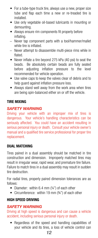- For a tube-type truck tire, always use a new, proper size tube and flap each time a new or re-treaded tire is installed.
- Use only vegetable oil-based lubricants in mounting or demounting.
- Always ensure rim components fit properly before inflating.
- − Never tap component parts with a tool/hammer/mallet while tire is inflated.
- − Never attempt to disassemble multi-piece rims while in flated.
- Never inflate a tire beyond 275 kPa (40 psi) to seat the beads. Be absolutely certain beads are fully seated before adjusting inflation pressure to the level recommended for vehicle operation.
- Use valve caps to keep the valves clear of debris and to help guard against inflation pressure loss.
- Always stand well away from the work area when tires are being spin-balanced either on or off the vehicle.

# TIRE MIXING

# *SAFETY WARNING*

Driving your vehicle with an improper mix of tires is dangerous. Your vehicle's handling characteristics can be seriously affected. You could have an accident resulting in serious personal injury or death. Consult your vehicle owner's manual and a qualified tire service professional for proper tire replacement.

#### DUAL MATCHING

Tires paired in a dual assembly should be matched in tire construction and dimension. Improperly matched tires may result in irregular wear, rapid wear, and premature tire failure. Failure to match tires in a dual assembly may result in sudden tire destruction.

For radial tires, properly paired dimension tolerances are as follows:

- Diameter: within 6.4 mm  $(\frac{1}{4})$  of each other
- Circumference: within 19 mm (¾") of each other

# HIGH SPEED DRIVING

# *SAFETY WARNING*

Driving at high speed is dangerous and can cause a vehicle accident, including serious personal injury or death.

• Regardless of the speed and handling capabilities of your vehicle and its tires, a loss of vehicle control can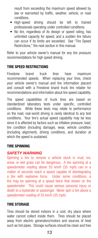result from exceeding the maximum speed allowed by law or warranted by traffic, weather, vehicle, or road conditions.

- High-speed driving should be left to trained professionals operating under controlled conditions.
- • No tire, regardless of its design or speed rating, has unlimited capacity for speed, and a sudden tire failure can occur if its limits are exceeded. See "Tire Speed Restrictions," the next section in this manual.

Refer to your vehicle owner's manual for any tire pressure recommendations for high speed driving.

# TIRE SPEED RESTRICTIONS

Firestone brand truck tires have maximum recommended speeds. When replacing your tires, check your vehicle owner's manual and tire information placard and consult with a Firestone brand truck tire retailer for recommendations and information about tire speed capability.

The speed capabilities of truck tires are based on standardized laboratory tests under specific, controlled conditions. While these tests may relate to performance on the road, real-world driving is rarely identical to any test conditions. Your tire's actual speed capability may be less since it is affected by factors such as inflation pressure, load, tire condition (including damage), wear, vehicle condition (including alignment), driving conditions, and duration at which the speed is sustained.

#### TIRE SPINNING

#### *SAFETY WARNING*

Spinning a tire to remove a vehicle stuck in mud, ice, snow, or wet grass can be dangerous. A tire spinning at a speedometer reading above 55 km/h (35 mph) can in a matter of seconds reach a speed capable of disintegrating a tire with explosive force. Under some conditions, a tire may be spinning at a speed twice that shown on the speedometer. This could cause serious personal injury or death to a bystander or passenger. Never spin a tire above a speedometer reading of 55 km/h (35 mph)

# TIRE STORAGE

Tires should be stored indoors in a cool, dry place where water cannot collect inside them. Tires should be placed away from electric generators/motors and sources of heat such as hot pipes. Storage surfaces should be clean and free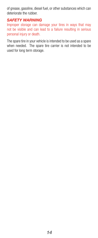of grease, gasoline, diesel fuel, or other substances which can deteriorate the rubber.

#### *SAFETY WARNING*

Improper storage can damage your tires in ways that may not be visible and can lead to a failure resulting in serious personal injury or death.

The spare tire in your vehicle is intended to be used as a spare when needed. The spare tire carrier is not intended to be used for long term storage.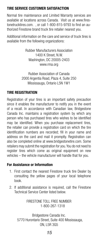# TIRE SERVICE CUSTOMER SATISFACTION

Normal tire maintenance and Limited Warranty services are available at locations across Canada. Visit us at www.firestonetrucktires.com. , or call 1-800-815-9793 to find an authorized Firestone brand truck tire retailer nearest you.

Additional information on the care and service of truck tires is available from the following organizations:

> Rubber Manufacturers Association 1400 K Street, N.W. Washington, DC 20005-2403 www.rma.org

Rubber Association of Canada 2000 Argentia Road, Plaza 4, Suite 250 Mississauga, Ontario L5N 1W1

# TIRE REGISTRATION

Registration of your tires is an important safety precaution since it enables the manufacturer to notify you in the event of a recall. In accordance with Canadian law, Bridgestone Canada Inc. maintains a registration system by which any person who has purchased tires who wishes to be identified may be identified. When you purchase replacement tires, the retailer can provide a registration card on which the tire identification numbers are recorded; fill in your name and address on the card and mail it promptly. Registration can also be completed online at www.bridgestonetire.com. Some retailers may submit the registration for you. You do not need to register tires which come as original equipment on new vehicles – the vehicle manufacturer will handle that for you.

#### For Assistance or Information

- 1. First contact the nearest Firestone truck tire Dealer by consulting the yellow pages of your local telephone book.
- 2. If additional assistance is required, call the Firestone Technical Service Center listed below.

FIRESTONE TOLL FREE NUMBER 1-800-267-1318

Bridgestone Canada Inc. 5770 Hurontario Street, Suite 400 Mississauga, ON, L5R 3G5

# *15*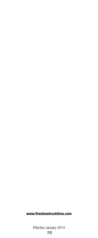# www.firestonetrucktires.com

*15 16*  Effective January 2014